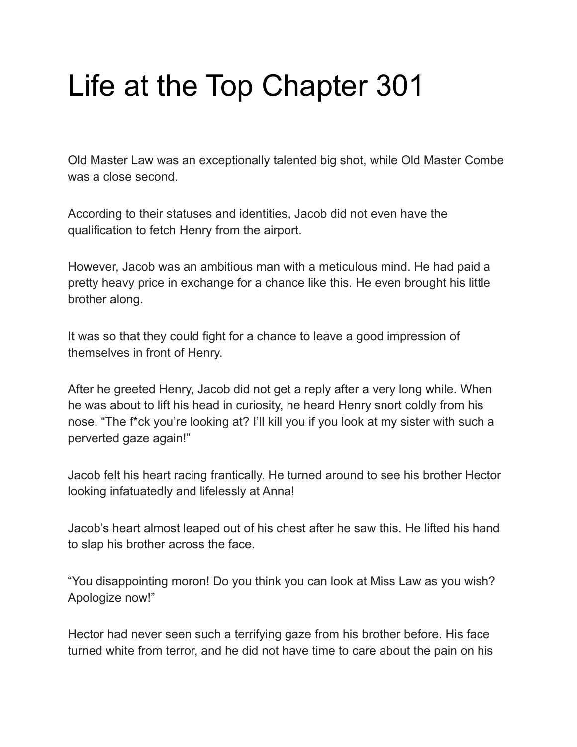# Life at the Top Chapter 301

Old Master Law was an exceptionally talented big shot, while Old Master Combe was a close second.

According to their statuses and identities, Jacob did not even have the qualification to fetch Henry from the airport.

However, Jacob was an ambitious man with a meticulous mind. He had paid a pretty heavy price in exchange for a chance like this. He even brought his little brother along.

It was so that they could fight for a chance to leave a good impression of themselves in front of Henry.

After he greeted Henry, Jacob did not get a reply after a very long while. When he was about to lift his head in curiosity, he heard Henry snort coldly from his nose. "The f\*ck you're looking at? I'll kill you if you look at my sister with such a perverted gaze again!"

Jacob felt his heart racing frantically. He turned around to see his brother Hector looking infatuatedly and lifelessly at Anna!

Jacob's heart almost leaped out of his chest after he saw this. He lifted his hand to slap his brother across the face.

"You disappointing moron! Do you think you can look at Miss Law as you wish? Apologize now!"

Hector had never seen such a terrifying gaze from his brother before. His face turned white from terror, and he did not have time to care about the pain on his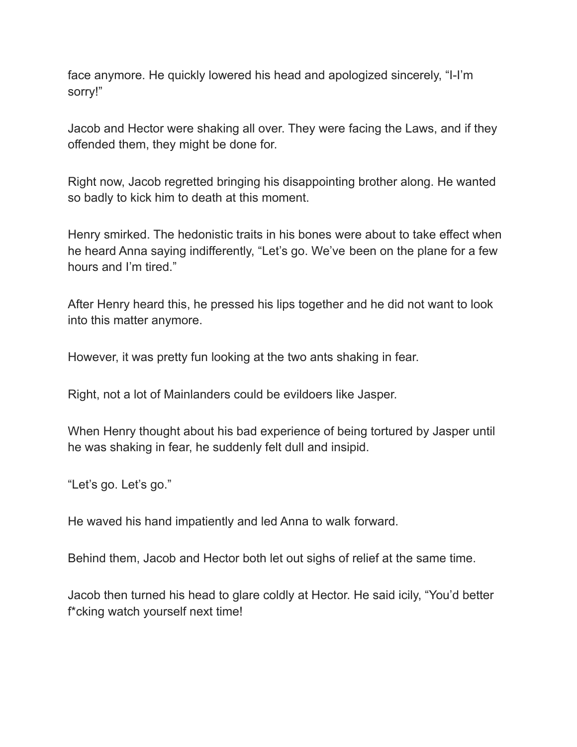face anymore. He quickly lowered his head and apologized sincerely, "I-I'm sorry!"

Jacob and Hector were shaking all over. They were facing the Laws, and if they offended them, they might be done for.

Right now, Jacob regretted bringing his disappointing brother along. He wanted so badly to kick him to death at this moment.

Henry smirked. The hedonistic traits in his bones were about to take effect when he heard Anna saying indifferently, "Let's go. We've been on the plane for a few hours and I'm tired."

After Henry heard this, he pressed his lips together and he did not want to look into this matter anymore.

However, it was pretty fun looking at the two ants shaking in fear.

Right, not a lot of Mainlanders could be evildoers like Jasper.

When Henry thought about his bad experience of being tortured by Jasper until he was shaking in fear, he suddenly felt dull and insipid.

"Let's go. Let's go."

He waved his hand impatiently and led Anna to walk forward.

Behind them, Jacob and Hector both let out sighs of relief at the same time.

Jacob then turned his head to glare coldly at Hector. He said icily, "You'd better f\*cking watch yourself next time!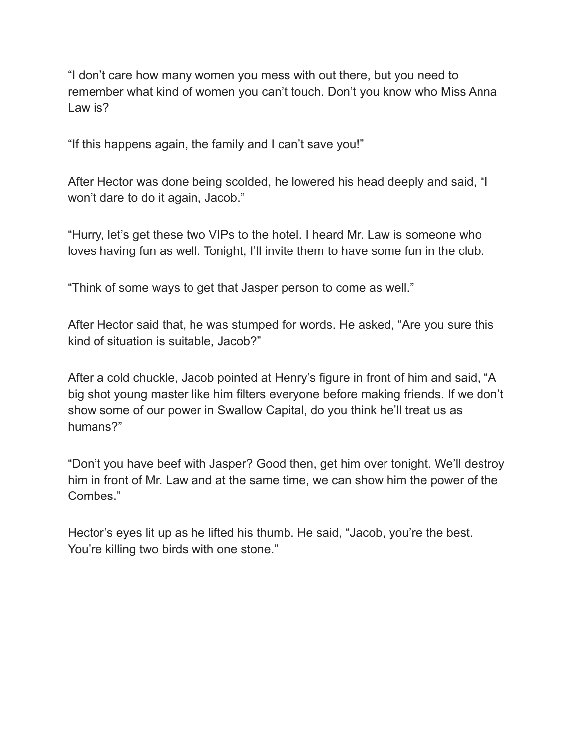"I don't care how many women you mess with out there, but you need to remember what kind of women you can't touch. Don't you know who Miss Anna Law is?

"If this happens again, the family and I can't save you!"

After Hector was done being scolded, he lowered his head deeply and said, "I won't dare to do it again, Jacob."

"Hurry, let's get these two VIPs to the hotel. I heard Mr. Law is someone who loves having fun as well. Tonight, I'll invite them to have some fun in the club.

"Think of some ways to get that Jasper person to come as well."

After Hector said that, he was stumped for words. He asked, "Are you sure this kind of situation is suitable, Jacob?"

After a cold chuckle, Jacob pointed at Henry's figure in front of him and said, "A big shot young master like him filters everyone before making friends. If we don't show some of our power in Swallow Capital, do you think he'll treat us as humans?"

"Don't you have beef with Jasper? Good then, get him over tonight. We'll destroy him in front of Mr. Law and at the same time, we can show him the power of the Combes."

Hector's eyes lit up as he lifted his thumb. He said, "Jacob, you're the best. You're killing two birds with one stone."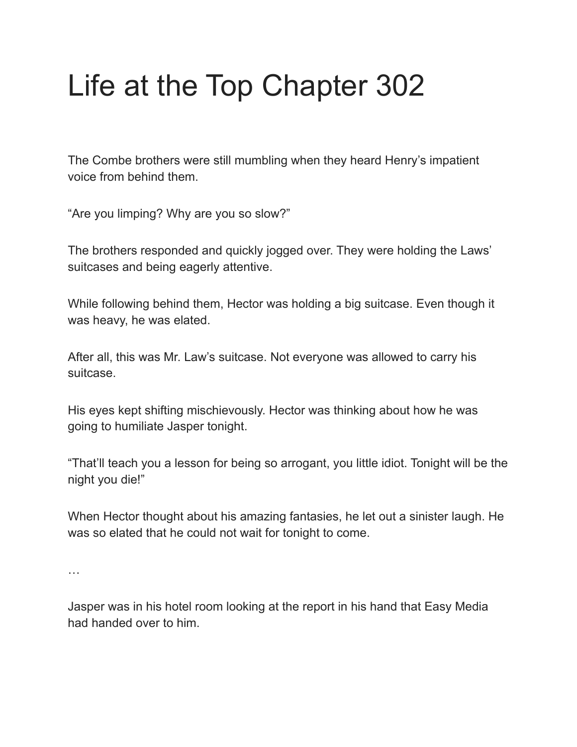# Life at the Top Chapter 302

The Combe brothers were still mumbling when they heard Henry's impatient voice from behind them.

"Are you limping? Why are you so slow?"

The brothers responded and quickly jogged over. They were holding the Laws' suitcases and being eagerly attentive.

While following behind them, Hector was holding a big suitcase. Even though it was heavy, he was elated.

After all, this was Mr. Law's suitcase. Not everyone was allowed to carry his suitcase.

His eyes kept shifting mischievously. Hector was thinking about how he was going to humiliate Jasper tonight.

"That'll teach you a lesson for being so arrogant, you little idiot. Tonight will be the night you die!"

When Hector thought about his amazing fantasies, he let out a sinister laugh. He was so elated that he could not wait for tonight to come.

…

Jasper was in his hotel room looking at the report in his hand that Easy Media had handed over to him.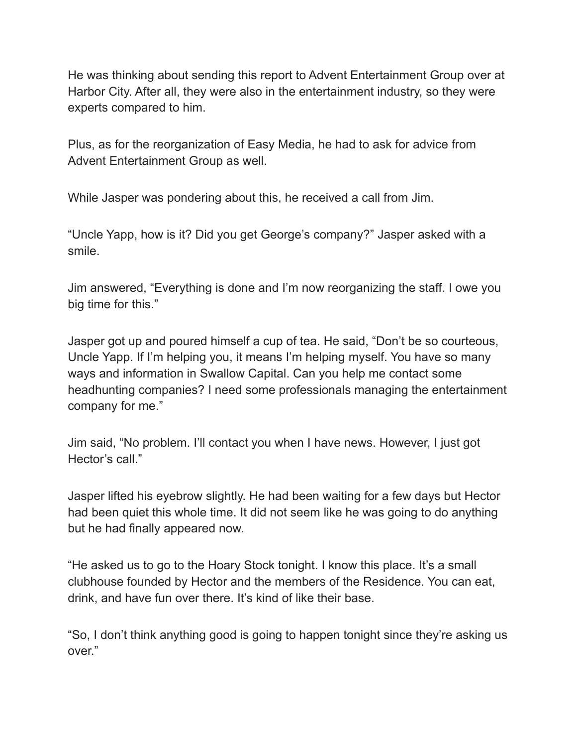He was thinking about sending this report to Advent Entertainment Group over at Harbor City. After all, they were also in the entertainment industry, so they were experts compared to him.

Plus, as for the reorganization of Easy Media, he had to ask for advice from Advent Entertainment Group as well.

While Jasper was pondering about this, he received a call from Jim.

"Uncle Yapp, how is it? Did you get George's company?" Jasper asked with a smile.

Jim answered, "Everything is done and I'm now reorganizing the staff. I owe you big time for this."

Jasper got up and poured himself a cup of tea. He said, "Don't be so courteous, Uncle Yapp. If I'm helping you, it means I'm helping myself. You have so many ways and information in Swallow Capital. Can you help me contact some headhunting companies? I need some professionals managing the entertainment company for me."

Jim said, "No problem. I'll contact you when I have news. However, I just got Hector's call."

Jasper lifted his eyebrow slightly. He had been waiting for a few days but Hector had been quiet this whole time. It did not seem like he was going to do anything but he had finally appeared now.

"He asked us to go to the Hoary Stock tonight. I know this place. It's a small clubhouse founded by Hector and the members of the Residence. You can eat, drink, and have fun over there. It's kind of like their base.

"So, I don't think anything good is going to happen tonight since they're asking us over."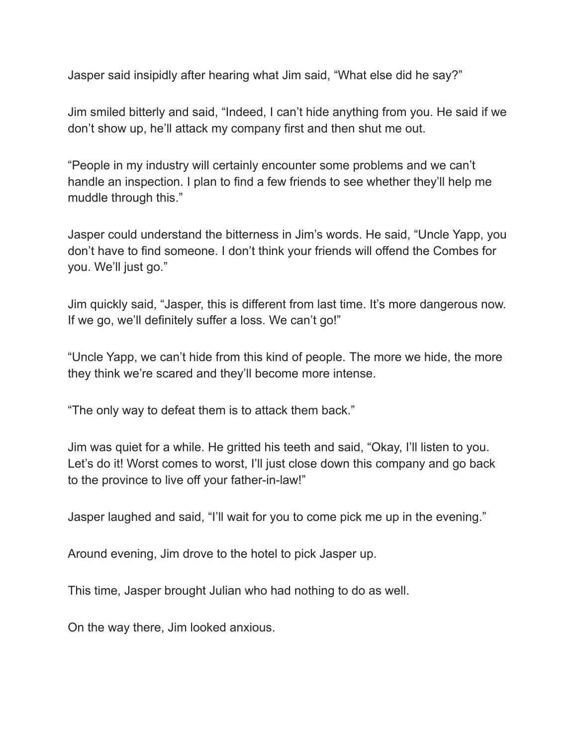Jasper said insipidly after hearing what Jim said, "What else did he say?"

Jim smiled bitterly and said, "Indeed, I can't hide anything from you. He said if we don't show up, he'll attack my company first and then shut me out.

"People in my industry will certainly encounter some problems and we can't handle an inspection. I plan to find a few friends to see whether they'll help me muddle through this."

Jasper could understand the bitterness in Jim's words. He said, "Uncle Yapp, you don't have to find someone. I don't think your friends will offend the Combes for you. We'll just go."

Jim quickly said, "Jasper, this is different from last time. It's more dangerous now. If we go, we'll definitely suffer a loss. We can't go!"

"Uncle Yapp, we can't hide from this kind of people. The more we hide, the more they think we're scared and they'll become more intense.

"The only way to defeat them is to attack them back."

Jim was quiet for a while. He gritted his teeth and said, "Okay, I'll listen to you. Let's do it! Worst comes to worst, I'll just close down this company and go back to the province to live off your father-in-law!"

Jasper laughed and said, "I'll wait for you to come pick me up in the evening."

Around evening, Jim drove to the hotel to pick Jasper up.

This time, Jasper brought Julian who had nothing to do as well.

On the way there, Jim looked anxious.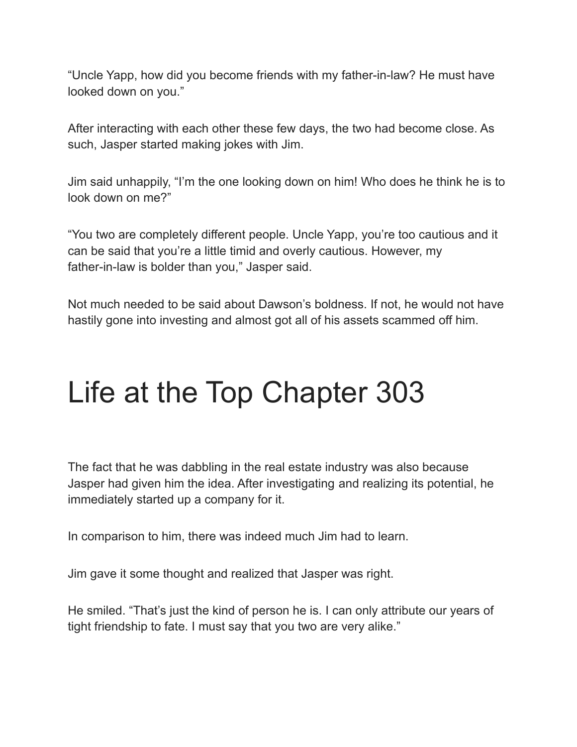"Uncle Yapp, how did you become friends with my father-in-law? He must have looked down on you."

After interacting with each other these few days, the two had become close. As such, Jasper started making jokes with Jim.

Jim said unhappily, "I'm the one looking down on him! Who does he think he is to look down on me?"

"You two are completely different people. Uncle Yapp, you're too cautious and it can be said that you're a little timid and overly cautious. However, my father-in-law is bolder than you," Jasper said.

Not much needed to be said about Dawson's boldness. If not, he would not have hastily gone into investing and almost got all of his assets scammed off him.

### Life at the Top Chapter 303

The fact that he was dabbling in the real estate industry was also because Jasper had given him the idea. After investigating and realizing its potential, he immediately started up a company for it.

In comparison to him, there was indeed much Jim had to learn.

Jim gave it some thought and realized that Jasper was right.

He smiled. "That's just the kind of person he is. I can only attribute our years of tight friendship to fate. I must say that you two are very alike."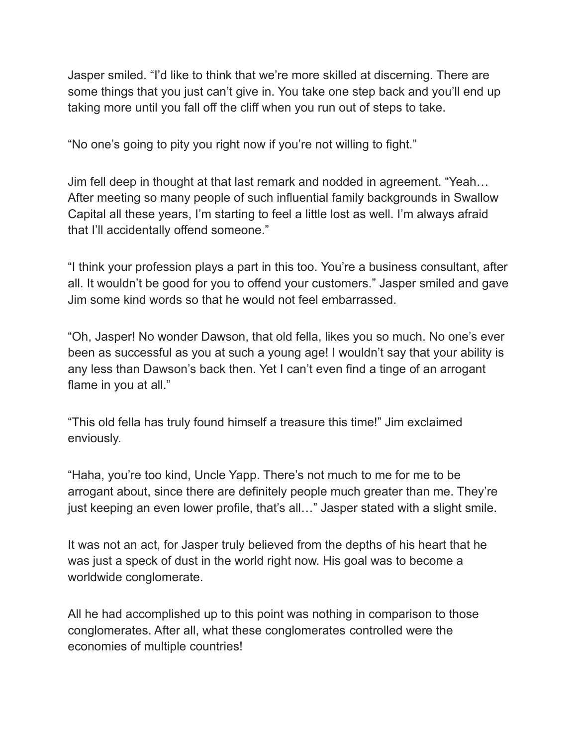Jasper smiled. "I'd like to think that we're more skilled at discerning. There are some things that you just can't give in. You take one step back and you'll end up taking more until you fall off the cliff when you run out of steps to take.

"No one's going to pity you right now if you're not willing to fight."

Jim fell deep in thought at that last remark and nodded in agreement. "Yeah… After meeting so many people of such influential family backgrounds in Swallow Capital all these years, I'm starting to feel a little lost as well. I'm always afraid that I'll accidentally offend someone."

"I think your profession plays a part in this too. You're a business consultant, after all. It wouldn't be good for you to offend your customers." Jasper smiled and gave Jim some kind words so that he would not feel embarrassed.

"Oh, Jasper! No wonder Dawson, that old fella, likes you so much. No one's ever been as successful as you at such a young age! I wouldn't say that your ability is any less than Dawson's back then. Yet I can't even find a tinge of an arrogant flame in you at all."

"This old fella has truly found himself a treasure this time!" Jim exclaimed enviously.

"Haha, you're too kind, Uncle Yapp. There's not much to me for me to be arrogant about, since there are definitely people much greater than me. They're just keeping an even lower profile, that's all..." Jasper stated with a slight smile.

It was not an act, for Jasper truly believed from the depths of his heart that he was just a speck of dust in the world right now. His goal was to become a worldwide conglomerate.

All he had accomplished up to this point was nothing in comparison to those conglomerates. After all, what these conglomerates controlled were the economies of multiple countries!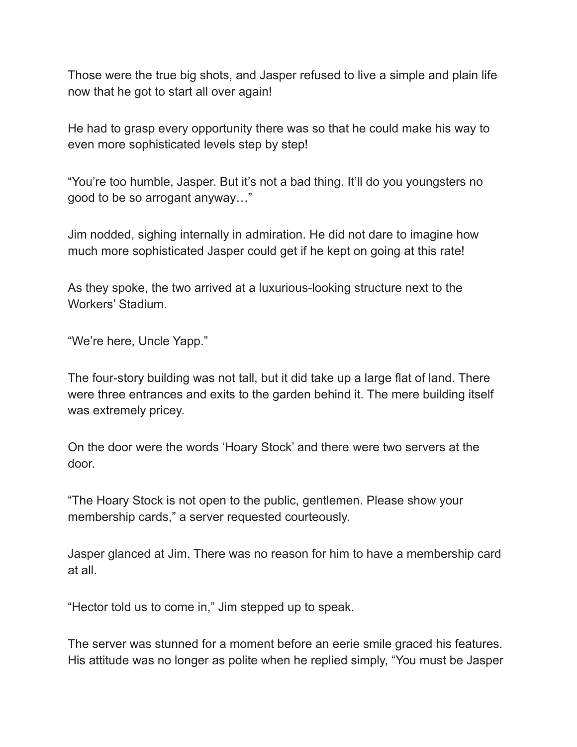Those were the true big shots, and Jasper refused to live a simple and plain life now that he got to start all over again!

He had to grasp every opportunity there was so that he could make his way to even more sophisticated levels step by step!

"You're too humble, Jasper. But it's not a bad thing. It'll do you youngsters no good to be so arrogant anyway…"

Jim nodded, sighing internally in admiration. He did not dare to imagine how much more sophisticated Jasper could get if he kept on going at this rate!

As they spoke, the two arrived at a luxurious-looking structure next to the Workers' Stadium.

"We're here, Uncle Yapp."

The four-story building was not tall, but it did take up a large flat of land. There were three entrances and exits to the garden behind it. The mere building itself was extremely pricey.

On the door were the words 'Hoary Stock' and there were two servers at the door.

"The Hoary Stock is not open to the public, gentlemen. Please show your membership cards," a server requested courteously.

Jasper glanced at Jim. There was no reason for him to have a membership card at all.

"Hector told us to come in," Jim stepped up to speak.

The server was stunned for a moment before an eerie smile graced his features. His attitude was no longer as polite when he replied simply, "You must be Jasper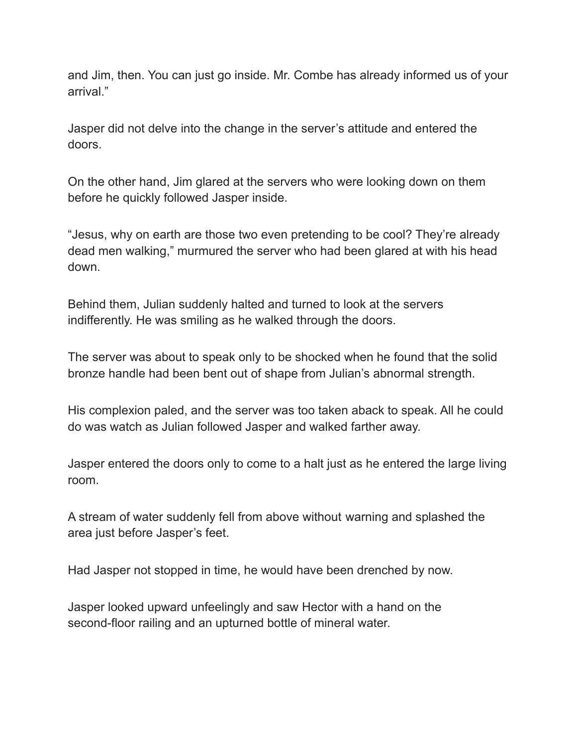and Jim, then. You can just go inside. Mr. Combe has already informed us of your arrival."

Jasper did not delve into the change in the server's attitude and entered the doors.

On the other hand, Jim glared at the servers who were looking down on them before he quickly followed Jasper inside.

"Jesus, why on earth are those two even pretending to be cool? They're already dead men walking," murmured the server who had been glared at with his head down.

Behind them, Julian suddenly halted and turned to look at the servers indifferently. He was smiling as he walked through the doors.

The server was about to speak only to be shocked when he found that the solid bronze handle had been bent out of shape from Julian's abnormal strength.

His complexion paled, and the server was too taken aback to speak. All he could do was watch as Julian followed Jasper and walked farther away.

Jasper entered the doors only to come to a halt just as he entered the large living room.

A stream of water suddenly fell from above without warning and splashed the area just before Jasper's feet.

Had Jasper not stopped in time, he would have been drenched by now.

Jasper looked upward unfeelingly and saw Hector with a hand on the second-floor railing and an upturned bottle of mineral water.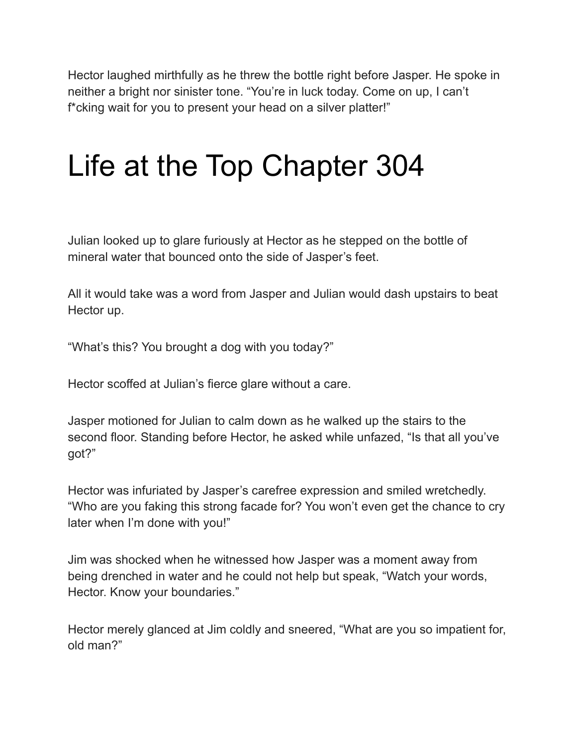Hector laughed mirthfully as he threw the bottle right before Jasper. He spoke in neither a bright nor sinister tone. "You're in luck today. Come on up, I can't f\*cking wait for you to present your head on a silver platter!"

#### Life at the Top Chapter 304

Julian looked up to glare furiously at Hector as he stepped on the bottle of mineral water that bounced onto the side of Jasper's feet.

All it would take was a word from Jasper and Julian would dash upstairs to beat Hector up.

"What's this? You brought a dog with you today?"

Hector scoffed at Julian's fierce glare without a care.

Jasper motioned for Julian to calm down as he walked up the stairs to the second floor. Standing before Hector, he asked while unfazed, "Is that all you've got?"

Hector was infuriated by Jasper's carefree expression and smiled wretchedly. "Who are you faking this strong facade for? You won't even get the chance to cry later when I'm done with you!"

Jim was shocked when he witnessed how Jasper was a moment away from being drenched in water and he could not help but speak, "Watch your words, Hector. Know your boundaries."

Hector merely glanced at Jim coldly and sneered, "What are you so impatient for, old man?"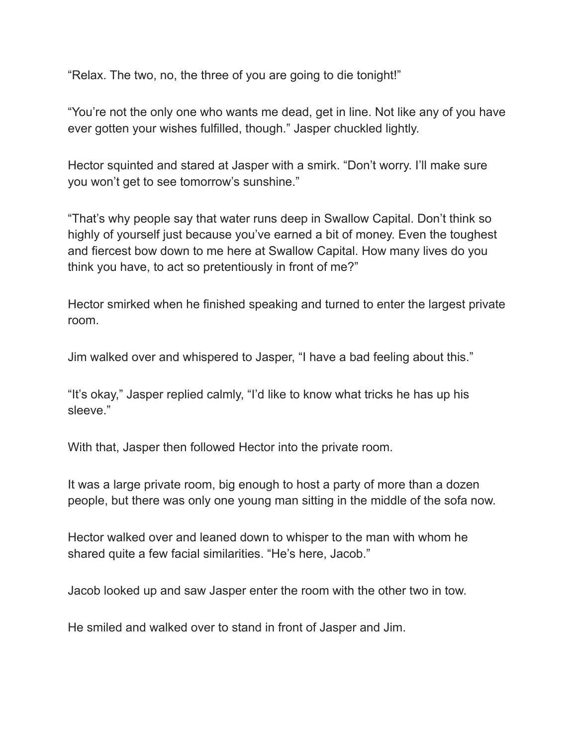"Relax. The two, no, the three of you are going to die tonight!"

"You're not the only one who wants me dead, get in line. Not like any of you have ever gotten your wishes fulfilled, though." Jasper chuckled lightly.

Hector squinted and stared at Jasper with a smirk. "Don't worry. I'll make sure you won't get to see tomorrow's sunshine."

"That's why people say that water runs deep in Swallow Capital. Don't think so highly of yourself just because you've earned a bit of money. Even the toughest and fiercest bow down to me here at Swallow Capital. How many lives do you think you have, to act so pretentiously in front of me?"

Hector smirked when he finished speaking and turned to enter the largest private room.

Jim walked over and whispered to Jasper, "I have a bad feeling about this."

"It's okay," Jasper replied calmly, "I'd like to know what tricks he has up his sleeve."

With that, Jasper then followed Hector into the private room.

It was a large private room, big enough to host a party of more than a dozen people, but there was only one young man sitting in the middle of the sofa now.

Hector walked over and leaned down to whisper to the man with whom he shared quite a few facial similarities. "He's here, Jacob."

Jacob looked up and saw Jasper enter the room with the other two in tow.

He smiled and walked over to stand in front of Jasper and Jim.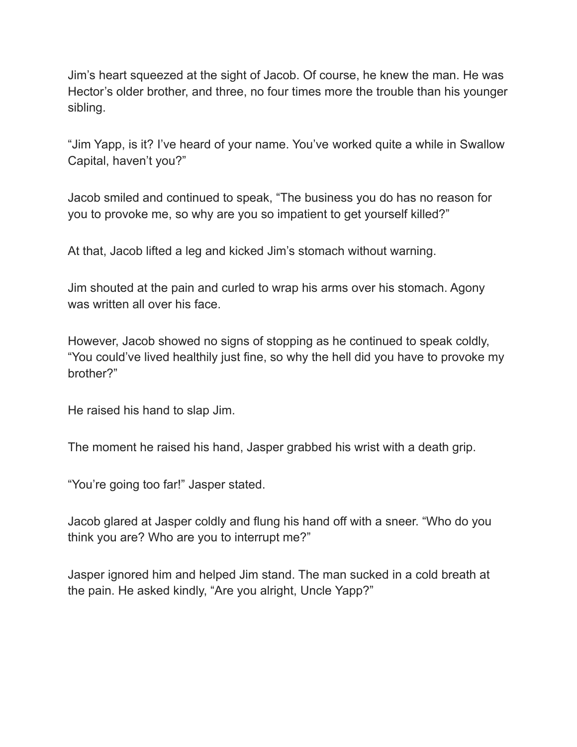Jim's heart squeezed at the sight of Jacob. Of course, he knew the man. He was Hector's older brother, and three, no four times more the trouble than his younger sibling.

"Jim Yapp, is it? I've heard of your name. You've worked quite a while in Swallow Capital, haven't you?"

Jacob smiled and continued to speak, "The business you do has no reason for you to provoke me, so why are you so impatient to get yourself killed?"

At that, Jacob lifted a leg and kicked Jim's stomach without warning.

Jim shouted at the pain and curled to wrap his arms over his stomach. Agony was written all over his face.

However, Jacob showed no signs of stopping as he continued to speak coldly, "You could've lived healthily just fine, so why the hell did you have to provoke my brother?"

He raised his hand to slap Jim.

The moment he raised his hand, Jasper grabbed his wrist with a death grip.

"You're going too far!" Jasper stated.

Jacob glared at Jasper coldly and flung his hand off with a sneer. "Who do you think you are? Who are you to interrupt me?"

Jasper ignored him and helped Jim stand. The man sucked in a cold breath at the pain. He asked kindly, "Are you alright, Uncle Yapp?"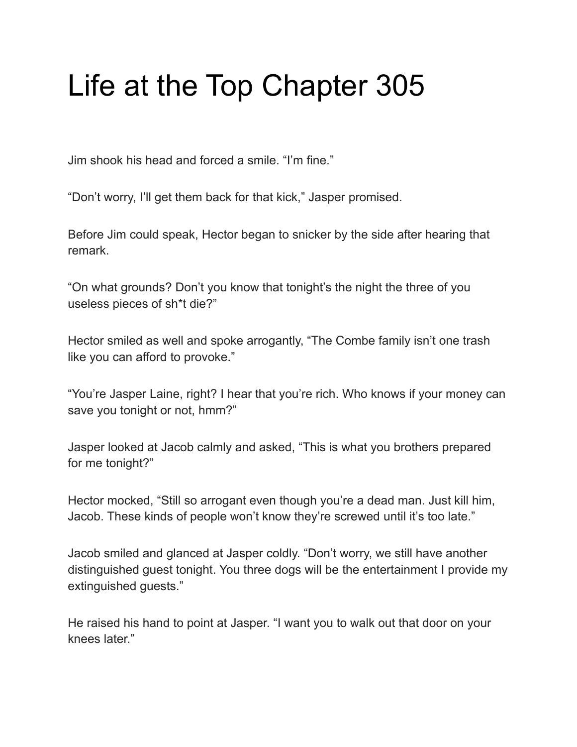# Life at the Top Chapter 305

Jim shook his head and forced a smile. "I'm fine."

"Don't worry, I'll get them back for that kick," Jasper promised.

Before Jim could speak, Hector began to snicker by the side after hearing that remark.

"On what grounds? Don't you know that tonight's the night the three of you useless pieces of sh\*t die?"

Hector smiled as well and spoke arrogantly, "The Combe family isn't one trash like you can afford to provoke."

"You're Jasper Laine, right? I hear that you're rich. Who knows if your money can save you tonight or not, hmm?"

Jasper looked at Jacob calmly and asked, "This is what you brothers prepared for me tonight?"

Hector mocked, "Still so arrogant even though you're a dead man. Just kill him, Jacob. These kinds of people won't know they're screwed until it's too late."

Jacob smiled and glanced at Jasper coldly. "Don't worry, we still have another distinguished guest tonight. You three dogs will be the entertainment I provide my extinguished guests."

He raised his hand to point at Jasper. "I want you to walk out that door on your knees later."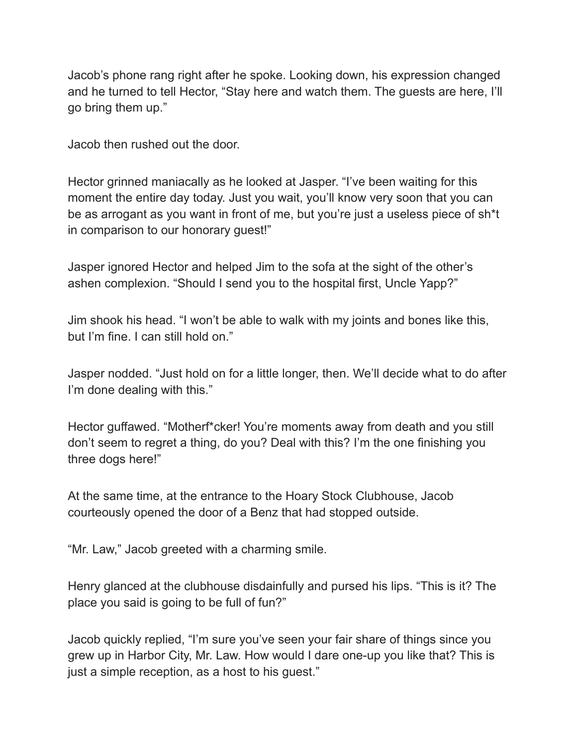Jacob's phone rang right after he spoke. Looking down, his expression changed and he turned to tell Hector, "Stay here and watch them. The guests are here, I'll go bring them up."

Jacob then rushed out the door.

Hector grinned maniacally as he looked at Jasper. "I've been waiting for this moment the entire day today. Just you wait, you'll know very soon that you can be as arrogant as you want in front of me, but you're just a useless piece of sh\*t in comparison to our honorary guest!"

Jasper ignored Hector and helped Jim to the sofa at the sight of the other's ashen complexion. "Should I send you to the hospital first, Uncle Yapp?"

Jim shook his head. "I won't be able to walk with my joints and bones like this, but I'm fine. I can still hold on."

Jasper nodded. "Just hold on for a little longer, then. We'll decide what to do after I'm done dealing with this."

Hector guffawed. "Motherf\*cker! You're moments away from death and you still don't seem to regret a thing, do you? Deal with this? I'm the one finishing you three dogs here!"

At the same time, at the entrance to the Hoary Stock Clubhouse, Jacob courteously opened the door of a Benz that had stopped outside.

"Mr. Law," Jacob greeted with a charming smile.

Henry glanced at the clubhouse disdainfully and pursed his lips. "This is it? The place you said is going to be full of fun?"

Jacob quickly replied, "I'm sure you've seen your fair share of things since you grew up in Harbor City, Mr. Law. How would I dare one-up you like that? This is just a simple reception, as a host to his guest."